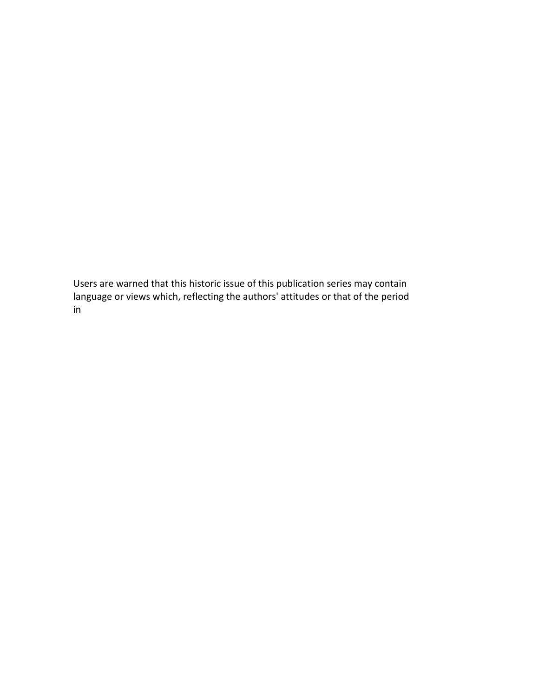# DISCLAIMER

Users are warned that this historic issue of this publication series may contain language or views which, reflecting the authors' attitudes or that of the period in which the item was written, may be considered to be inappropriate or offensive today.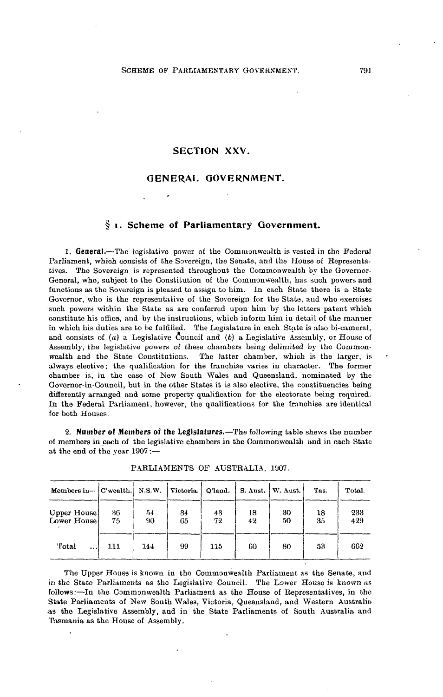# **SECTION XXV.**

## **GENERAL GOVERNMENT.**

## **i. Scheme of Parliamentary Government.**

**1. General.**—The legislative power of the Commonwealth is vested in the Federal Parliament, which consists of the Sovereign, the Senate, and the House of Representatives. The Sovereign is represented throughout the Commonwealth by the Governor-General, who, subject to the Constitution of the Commonwealth, has such powers and functions as the Sovereign is pleased to assign to him. In each State there is a State Governor, who is the representative of the Sovereign for the State, and who exercises such powers within the State as are conferred upon him by the letters patent which constitute his office, and by the instructions, which inform him in detail of the manner in which his duties are to be fulfilled. The Legislature in each State is also bi-cameral, and consists of *(a)* a Legislative Council and (6) a Legislative Assembly, or House of Assembly, the legislative powers of these chambers being delimited by the Commonwealth and the State Constitutions. The latter chamber, which is the larger, is always elective; the qualification for the franchise varies in character. The former chamber is, in the case of New South Wales and Queensland, nominated by the Govornor-in-Council, but in the other States it is also elective, the constituencies being differently arranged and some property qualification for the electorate being required. In the Federal Parliament, however, the qualifications for the franchise are identical for both Houses.

**2. Number of Members of the Legislatures.**—The following table shews the number of members iu each of the legislative chambers in the Commonwealth and in each State at the end of the year 1907:—

| Members in $ C$ wealth.    |          | N.S.W.   | Victoria. | Q'land.  |          | S. Aust.   W. Aust. | Tas.     | Total.     |
|----------------------------|----------|----------|-----------|----------|----------|---------------------|----------|------------|
| Upper House<br>Lower House | 36<br>75 | 54<br>90 | 34<br>65  | 43<br>72 | 18<br>42 | 30<br>50            | 18<br>35 | 233<br>429 |
| 'l'otal<br>                | 111      | 144      | 99        | 115      | 60       | 80                  | 53       | 662        |

PARLIAMENTS OF AUSTRALIA, 1907.

The Upper House is known in tho Commonwealth Parliament as the Senate, and in the State Parliaments as the Legislative Council. The Lower House is known as follows:—In the Commonwealth Parliament as the House of Representatives, in the State Parliaments of New South Wales, Victoria, Queensland, and Western Australia as tho Legislative Assembly, and in the State Parliaments of South Australia and Tasmania as the House of Assembly.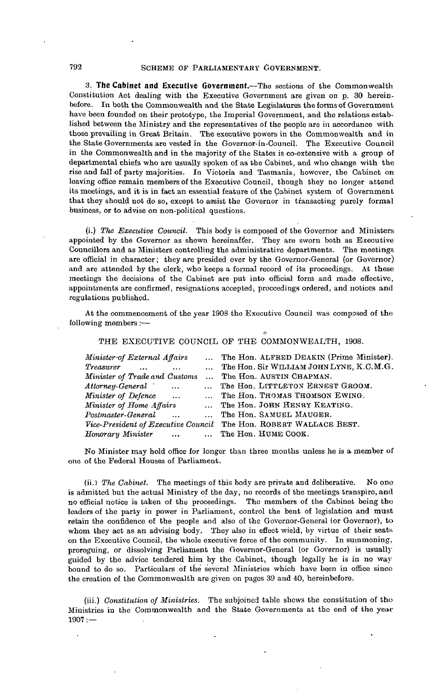## 792 SCHEME OF PARLIAMENTARY GOVERNMENT.

**3. The Cabinet and Executive Government.**—The sections of the Commonwealth Constitution Act dealing with the Executive Government are given on p. 30 hereinbefore. In both the Commonwealth and the State Legislatures the forms of Government have been founded on their prototype, the Imperial Government, and the relations established between the Ministry and the representatives of the people are in accordance with those prevailing in Great Britain. The executive powers in the Commonwealth and in the State Governments are vested in the Governor-in-Council. The Executive Council in the Commonwealth and in the majority of the States is co-extensive with a group of departmental chiefs who are usually spoken of as the Cabinet, and who change with the rise and fall of party majorities. In Victoria and Tasmania, however, the Cabinet on leaving office remain members of the Executive Council, though they no longer attend its meetings, and it is in fact an essential feature of the Cabinet system of Government that they should not do so, except to assist the Governor in transacting purely formal business, or to advise on non-political questions.

(i.) *The Executive Council.* This body is composed of the Governor and Ministers appointed by the Governor as shewn hereinafter. They are sworn both as Executive Councillors and as Ministers controlling the administrative departments. The meetings are official in character; they are presided over by the Governor-General (or Governor) and are attended by the clerk, who keeps a formal record of its proceedings. At these meetings the decisions of the Cabinet are put into official form and made effective, appointments are confirmed, resignations accepted; proceedings ordered, and notices and regulations published.

At the commencement of the year 1908 the Executive Council was composed of the following members:—

THE EXECUTIVE COUNCIL OF THE COMMONWEALTH, 1908.

o

| Minister of External Affairs    | The Hon. ALFRED DEAKIN (Prime Minister).                          |
|---------------------------------|-------------------------------------------------------------------|
| Treasurer<br>$\sim$             | The Hon. Sir WILLIAM JOHN LYNE, K.C.M.G.                          |
| Minister of Trade and Customs   | The Hon. AUSTIN CHAPMAN.                                          |
| Attorney-General                | The Hon. LITTLETON ERNEST GROOM.                                  |
| Minister of Defence             | The Hon. THOMAS THOMSON EWING.                                    |
| Minister of Home Affairs        | The Hon. JOHN HENRY KEATING.                                      |
| Postmaster-General<br>$\ddotsc$ | The Hon. SAMUEL MAUGER.                                           |
|                                 | Vice-President of Executive Council The Hon. ROBERT WALLACE BEST. |
| Honorary Minister               | $\ldots$ $\ldots$ The Hon. HUME COOK.                             |

No Minister may hold office for longer than three months unless he is a member of one of the Federal Houses of Parliament.

(ii.) *The Cabinet.* The meetings of this body are private and deliberative. No one is admitted but the actual Ministry of the day, no records of the meetings transpire, and no official notice is taken of the proceedings. The members of the Cabinet being the leaders of the party in power in Parliament, control the bent of legislation and must retain the confidence of the people and also of the Governor-General (or Governor), to whom they act as an advising body. They also in effect wield, by virtue of their seats on the Executive Council, the whole executive force of the community. In summoning, proroguing, or dissolving Parliament the Governor-General (or Governor) is usually guided by the advice tendered him by the Cabinet, though legally he is in no way bound to do so. Particulars of the several Ministries which have been in office since the creation of the Commonwealth are given on pages 39 and 40, hereinbefore.

(iii.) *Constitution of Ministries.* The subjoined table shews the constitution of the-Ministries in the Commonwealth and the State Governments at the end of the year  $1907:$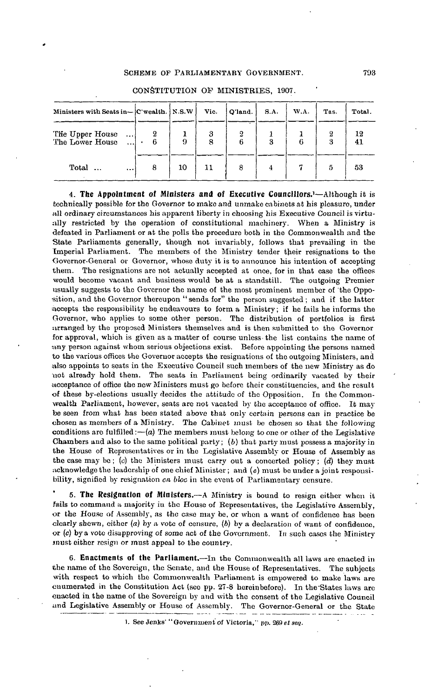#### SCHEME OF PARLIAMENTARY GOVERNMENT.

| Ministers with Seats in- [C'wealth.   N.S.W            |   |    | Vic.   | Q'land. | S.A. | W.A. | Tas. | Total.   |
|--------------------------------------------------------|---|----|--------|---------|------|------|------|----------|
| The Upper House<br>$\cdots$<br>The Lower House $\dots$ |   | 9  | 3<br>8 | 2<br>6  | 3    |      | З    | 12<br>41 |
| Total<br>$\ddotsc$                                     | 8 | 10 | 11     | 8       | 4    |      | 5    | 53       |

CONSTITUTION OP MINISTRIES, 1907.

**4. The Appointment of Ministers and oi Executive Councillors.<sup>1</sup>**—Although it is technically possible for the Governor to make and unmake cabinets at his pleasure, under all ordinary circumstances his apparent liberty in choosing his Executive Council is virtually restricted by the operation of constitutional machinery. When a Ministry is defeated in Parliament or at the polls the procedure both in the Commonwealth and the State Parliaments generally, though not invariably, follows that prevailing in the Imperial Parliament. The members of the Ministry tender their resignations to the Governor-General ov Governor, whose duty it is to announce his intention of accepting them. The resignations are not actually accepted at once, for in that case the offices would become vacant and business would he at a standstill. The outgoing Premier usually suggests to the Governor the name of the most prominent member of 'the Opposition, and the Governor thereupon "sends for" the person suggested ; and if the latter accepts the responsibility he endeavours to form a Ministry; if he fails he informs the Governor, who applies to some other person. The distribution of portfolios is first arranged by the proposed Ministers themselves and is then submitted to the Governor for approval, which is given as a matter of course unless the list contains the name of uny person against whom serious objections exist. Before appointing the persons named to the various offices the Governor accepts the resignations of the outgoing Ministers, and also appoints to seats in the Executive Council such members of the new Ministry as do not already hold them. The seats in Parliament being ordinarily vacated by their ;icceptance of office the new Ministers must go before their constituencies, and the result of these by-elections usually decides the attitude of the Opposition. In the Commonwealth Parliament, however, seats are not vacated by the acceptance of office. It may be seen from what has been stated above that only certain persons can in practice be chosen as members of a Ministry. The Cabinet must be chosen so that the following conditions are fulfilled:— $(a)$  The members must belong to one or other of the Legislative Chambers and also to the same political party; *(b)* that party must possess a majority in the House of Representatives or in the Legislative Assembly or House of Assembly as the case may be; (c) the Ministers must carry out a concerted policy; *(d)* they must acknowledge the leadership of one chief Minister; and *(e)* must be under a joint responsibility, signified by resignation *en. bloc* in the event of Parliamentary censure.

**5. The Resignation of Ministers.**—A Ministry is bound to resign either when it fails to command a majority iu the House of Representatives, the Legislative Assembly, or the House of Assembly, as the case may be, or when a want of confidence has been clearly shewn, either  $(a)$  by a vote of censure,  $(b)$  by a declaration of want of confidence, or *(c)* by a vote disapproving of some act of the Government. In such cases the Ministry jnust either resign or must appeal to the country.

**6. Enactments of the Parliament.**—In the Commonwealth all laws are enacted in the name of the Sovereign, the Senate, and the House of Representatives. The subjects with respect to which the Commonwealth Parliament is empowered to make laws are enumerated in the Constitution Act (see pp. 27-8 hereinbefore). In the'States laws are enacted in the name of the Sovereign by and with the consent of the Legislative Council and Legislative Assembly or House of Assembly. The Governor-General or the State

1. See Jenks' "Government of Victoria," pp. 269 *et sen.*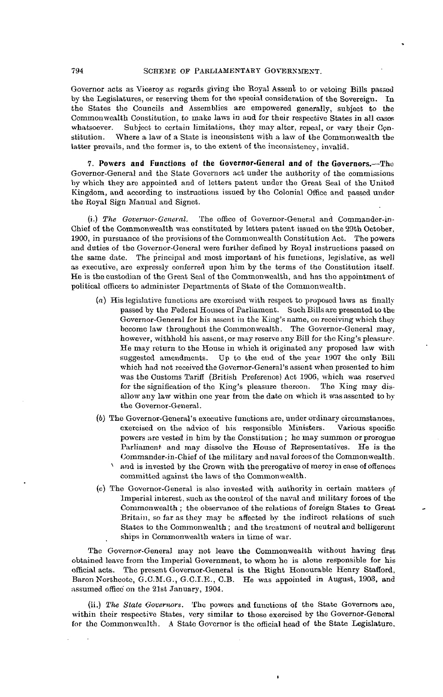#### 794 SCHEME OP PARLIAMENTARY GOVERNMENT.

Governor acts as Viceroy as regards giving the Royal Assent to or vetoing Bills passed by the Legislatures, or reserving them for the special consideration of the Sovereign. In the States the Councils and Assemblies are empowered generally, subject to the Commonwealth Constitution, to make laws in and for their respective States in all cases whatsoever. Subject to certain limitations, they may alter, repeal, or vary their Gonstitution. Where a law of a State is inconsistent with a law of the Commonwealth the latter prevails, and the former is, to the extent of the inconsistency, invalid.

**7. Powers and Functions of the Governor-General and of the Governors.—The** Governor-General and the State Governors act under the authority of the commissions by which they are appointed and of letters patent under the Great Seal of the United Kingdom, and according to instructions issued by the Colonial Office and passed under the Royal Sign Manual and Signet.

(i.) *The Governor-General,* The office of Governor-General and Commander-in-Ghief of the Commonwealth was constituted by letters patent issued on the 29th October, 1900, in pursuance of the provisions of the Commonwealth Constitution Act. The powers and duties of the Governor-General were further defined by Royal instructions passed on the same date. The principal and most important of his functions, legislative, as well as executive, are expressly conferred upon him by the terms of the Constitution itself. He is the custodian of the Great Seal of the Commonwealth, and has the appointment of political officers to administer Departments of State of the Commonwealth.

- *(a)* His legislative functions are exercised with respect to proposed laws as finally passed by the Federal Houses of Parliament. Such Bills are presented to the Governor-General for his assent in the King's name, on receiving which they become law throughout the Commonwealth. The Governor-General may. however, withhold his assent, or may reserve any Bill for the King's pleasure. He may return to the House in which it originated any proposed law with suggested amendments. Up to the end of the year 1907 the only Bill which had not received the Governor-General's assent when presented to him was the Customs Tariff (British Preference) Act 1906, which was reserved for the signification of the King's pleasure thereon. The King may disfor the signification of the King's pleasure thereon. allow any law within one year from the date on which it was assented to by the Governor-General.
- (6) The Governor-General's executive functions are, under ordinary circumstances, exercised on the advice of his responsible Ministers. Various specific powers are vested in him by the Constitution ; he may summon or prorogue Parliament and may dissolve the House of Representatives. He is the Commander-in-Chief of the military and naval forces of the Commonwealth. v and is invested by the Crown with the prerogative of mercy in case of offences committed against the laws of the Commonwealth.
- (c) The Governor-General is also invested with authority in certain matters of Imperial interest, such as the control of the naval and military forces of the Commonwealth ; the observance of the relations of foreign States to Great Britain, so far as they may be affected by the indirect relations of such States to the Commonwealth ; and the treatment of neutral and belligerent ships in Commonwealth waters in time of war.

The Governor-General may not leave the Commonwealth without having first obtained leave from the Imperial Government, to whom he is alone responsible for his official acts. The present Governor-General is the Right Honourable Henry Stafford, Baron Northcotc, G.C.M.G., G.C.I.E., C.B. He was appointed in August, 1903, and assumed office on the 21st January, 1904.

(ii.) *The State Governors.* The powers and functions of the State Governors are, within their respective States, very similar to those exercised by the Governor-General for the Commonwealth. A State Governor is the official head of the State Legislature.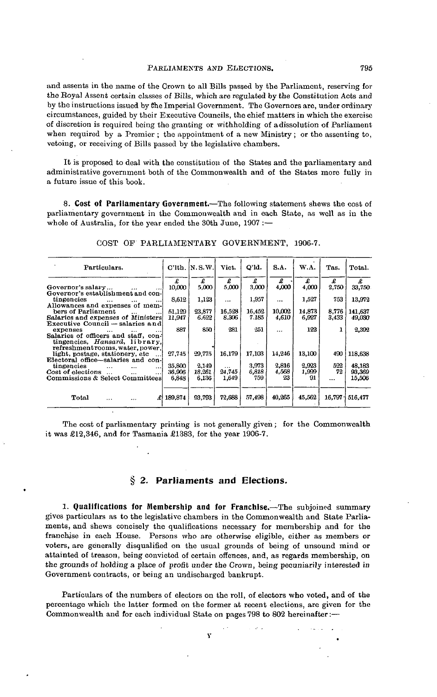and assents in the name of the Crown to all Bills passed by the Parliament, reserving for the Royal Assent certain classes of Bills, which are regulated by the Constitution Acts and by the instructions issued by Che Imperial Government. The Governors are, under ordinary circumstances, guided by their Executive Councils, the chief matters in which the exercise of discretion is required being the granting or withholding of adissolution of Parliament when required by a Premier; the appointment of a new Ministry; or the assenting to, vetoing, or receiving of Bills passed by the legislative chambers.

It is proposed to deal with the constitution of the States and the parliamentary and administrative government both of the Commonwealth and of the States more fully in a future issue of this book.

**8. Cost of Parliamentary Government.**—The following statement shews the cost of parliamentary government in the Commonwealth and in each State, as well as in the whole of Australia, for the year ended the 30th June, 1907 :-

| Particulars.                                   |           | $C'llth$ , $N.S.W$ . | Vict.    | O'ld.  | S.A.     | W.A.   | Tas.   | Total.  |
|------------------------------------------------|-----------|----------------------|----------|--------|----------|--------|--------|---------|
|                                                | £         | £                    | £        | £      | £        | £      | £      | £       |
| Governor's salary                              | 10,000    | 5,000                | 5.000    | 3.000  | 4,000    | 4,000  | 2,750  | 33,750  |
| Governor's establishment and con-              |           |                      |          |        |          |        |        |         |
| tingencies<br>$\cdots$                         | 8.612     | 1,123                | $\cdots$ | 1,957  | $\cdots$ | 1,527  | 753    | 13,972  |
| Allowances and expenses of mem-                |           |                      |          |        |          |        |        |         |
| bers of Parliament<br>$\ddotsc$<br>$\cdots$    | 51.129    | 23.877               | 16,528   | 16.452 | 10.002   | 14.873 | 8,776  | 141.637 |
| Salaries and expenses of Ministers             | 11,947    | 6.622                | 8.306    | 7.185  | 4.610    | 6,927  | 3.433  | 49,030  |
| Executive Council - salaries and               |           |                      |          |        |          |        |        |         |
| expenses                                       | 887       | 850                  | 281      | 251    | $\cdots$ | 122    |        | 2,392   |
| Salaries of officers and staff, con-           |           |                      |          |        |          |        |        |         |
| tingencies, Hansard, library,                  |           |                      |          |        |          |        |        |         |
| refreshmentrooms, water, power,                |           |                      |          |        |          |        |        |         |
| light, postage, stationery, etc.               | 27,745    | 29,775               | 16.179   | 17.103 | 14,246   | 13,100 | 490    | 118,638 |
| Electoral office-salaries and con-             |           |                      |          |        |          |        |        |         |
| tingencies<br>$\cdots$<br>$\cdots$<br>$\cdots$ | 35,800    | 2,149                | $\cdots$ | 3,973  | 2,816    | 2.923  | 522    | 48,183  |
| Cost of elections<br>$\cdots$                  | 36.906    | 18.261               | 24,745   | 6.818  | 4,568    | 1,999  | 72     | 93.369  |
| Commissions & Select Committees                | 6.848     | 6.136                | 1.649    | 759    | 23       | 91     |        | 15,506  |
|                                                |           |                      |          |        |          |        |        |         |
|                                                |           |                      |          |        |          |        |        |         |
| Total<br>$\cdots$<br>                          | £ 189.874 | 93.793               | 72,688   | 57,498 | 40.265   | 45.562 | 16.797 | 516,477 |
|                                                |           |                      |          |        |          |        |        |         |

COST OF PARLIAMENTARY GOVERNMENT, 1906-7.

The cost of parliamentary printing is not generally given ; for the Commonwealth it was £12,346, and for Tasmania £1383, for the year 1906-7.

#### **§ 2. Parliaments and Elections.**

**1. Qualifications for Membership and for Franchise.**—The subjoined summary gives particulars as to the legislative chambers in the Commonwealth and State Parliaments, and shews concisely the qualifications necessary for membership and for the franchise in each House. Persons who are otherwise eligible, either as members or voters, are generally disqualified on the usual grounds of being of unsound mind or attainted of treason, being convicted of certain offences, and, as regards membership, on the grounds of holding a place of profit under the Crown, being pecuniarily interested in Government contracts, or being an undischarged bankrupt.

Particulars of the numbers of electors on the roll, of electors who voted, and of the percentage which the latter formed on the former at recent elections, are given for the Commonwealth and for each individual State on pages 798 to 802 hereinafter:—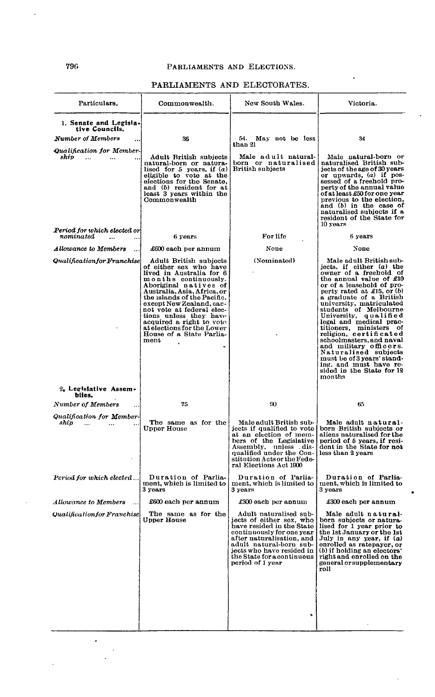# PARLIAMENTS AND ELECTORATES.

| Particulars.                                                                               | Commonwealth.                                                                                                                                                                                                                                                                                                                                                                | New South Wales.                                                                                                                                                                                                                                    | Victoria.                                                                                                                                                                                                                                                                                                                                                                                                                                                                                                                                     |
|--------------------------------------------------------------------------------------------|------------------------------------------------------------------------------------------------------------------------------------------------------------------------------------------------------------------------------------------------------------------------------------------------------------------------------------------------------------------------------|-----------------------------------------------------------------------------------------------------------------------------------------------------------------------------------------------------------------------------------------------------|-----------------------------------------------------------------------------------------------------------------------------------------------------------------------------------------------------------------------------------------------------------------------------------------------------------------------------------------------------------------------------------------------------------------------------------------------------------------------------------------------------------------------------------------------|
| 1. Senate and Legisla-<br>tive Councils.                                                   |                                                                                                                                                                                                                                                                                                                                                                              |                                                                                                                                                                                                                                                     |                                                                                                                                                                                                                                                                                                                                                                                                                                                                                                                                               |
| <b>Number of Members</b>                                                                   | 36                                                                                                                                                                                                                                                                                                                                                                           | 54.<br>May not be less<br>than 21                                                                                                                                                                                                                   | 34                                                                                                                                                                                                                                                                                                                                                                                                                                                                                                                                            |
| Qualification for Member-<br>ship<br>$\ddotsc$<br>$\ddotsc$<br>Period for which elected or | Adult British subjects<br>natural-born or natura-<br>lised for 5 years, if $(a)$<br>eligible to vote at the<br>elections for the Senate,<br>and (b) resident for at<br>least 3 years within the<br>Commonwealth                                                                                                                                                              | Male adult natural-<br>born or naturalised!<br>British subjects                                                                                                                                                                                     | Male natural-born or<br>naturalised British sub-<br>jects of the age of 30 years<br>or upwards, $(a)$ if pos-<br>sessed of a freehold pro-<br>perty of the annual value<br>of at least £50 for one year<br>previous to the election,<br>and (b) in the case of<br>naturalised subjects if a<br>resident of the State for<br>10 years                                                                                                                                                                                                          |
| nominated<br>$\ddotsc$                                                                     | 6 years                                                                                                                                                                                                                                                                                                                                                                      | For life                                                                                                                                                                                                                                            | 6 years                                                                                                                                                                                                                                                                                                                                                                                                                                                                                                                                       |
| Allowance to Members                                                                       | £600 each per annum                                                                                                                                                                                                                                                                                                                                                          | None                                                                                                                                                                                                                                                | None                                                                                                                                                                                                                                                                                                                                                                                                                                                                                                                                          |
| Qualification for Franchise                                                                | Adult British subjects<br>of either sex who have<br>lived in Australia for 6<br>months continuously.<br>Aboriginal natives of<br>Australia, Asia, Africa, or<br>the islands of the Pacific.<br>except New Zealand, can-<br>not vote at federal elec-<br>tions unless they have<br>acquired a right to vote<br>at elections for the Lower<br>House of a State Parlia-<br>ment | (Nominated)                                                                                                                                                                                                                                         | Male adult British sub-<br>jects, if either (a) the<br>owner of a freehold of<br>the annual value of $£10$<br>or of a leasehold of pro-<br>perty rated at £15, or $(b)$<br>a graduate of a British<br>university, matriculated<br>students of Melbourne<br>University, qualified<br>legal and medical prac-<br>titioners, ministers of<br>religion, certificated<br>schoolmasters, and naval<br>and military officers.<br>Naturalised subjects<br>must be of 3 years' stand-<br>ing, and must have re-<br>sided in the State for 12<br>months |
| 2. Legislative Assem-<br>blies.                                                            |                                                                                                                                                                                                                                                                                                                                                                              |                                                                                                                                                                                                                                                     |                                                                                                                                                                                                                                                                                                                                                                                                                                                                                                                                               |
| Number of Members                                                                          | 75                                                                                                                                                                                                                                                                                                                                                                           | $\infty$                                                                                                                                                                                                                                            | 65                                                                                                                                                                                                                                                                                                                                                                                                                                                                                                                                            |
| Qualification for Member-<br>ship<br>$\cdots$<br>$\cdots$                                  | The same as for the<br><b>Upper House</b>                                                                                                                                                                                                                                                                                                                                    | Male adult British sub-<br>jects if qualified to vote<br>at an election of mem-<br>bers of the Legislative<br>Assembly, unless dis-<br>qualified under the Con-<br>stitution Acts or the Fede-<br>ral Elections Act 1900                            | Male adult natural-<br>born British subjects or<br>aliens naturalised for the<br>period of 5 years, if resi-<br>dent in the State for not<br>less than 2 years                                                                                                                                                                                                                                                                                                                                                                                |
| Period for which elected                                                                   | Duration of Parlia-<br>ment, which is limited to<br>3 years                                                                                                                                                                                                                                                                                                                  | Duration of Parlia-<br>ment, which is limited to<br>3 years                                                                                                                                                                                         | Duration of Parlia-<br>ment, which is limited to<br>3 years                                                                                                                                                                                                                                                                                                                                                                                                                                                                                   |
| <b>Allowance to Members</b>                                                                | £600 each per annum                                                                                                                                                                                                                                                                                                                                                          | £300 each per annum                                                                                                                                                                                                                                 | $\pounds 300$ each per annum                                                                                                                                                                                                                                                                                                                                                                                                                                                                                                                  |
| Qualification for Franchise                                                                | The same as for the<br>Upper House                                                                                                                                                                                                                                                                                                                                           | Adult naturalised sub-<br>jects of either sex, who<br>have resided in the State<br>continuously for one year<br>after naturalisation, and<br>adult natural-born sub-<br>jects who have resided in<br>the State for a continuous<br>period of 1 year | Male adult natural-<br>born subjects or natura-<br>lised for 1 year prior to<br>the 1st January or the 1st<br>July in any year, if (a)<br>enrolled as ratepayer, or<br>$(b)$ if holding an electors'<br>right and enrolled on the<br>general or supplementary<br>roll                                                                                                                                                                                                                                                                         |
|                                                                                            |                                                                                                                                                                                                                                                                                                                                                                              |                                                                                                                                                                                                                                                     |                                                                                                                                                                                                                                                                                                                                                                                                                                                                                                                                               |

ä

 $\ddot{\phantom{0}}$ 

 $\ddot{\phantom{0}}$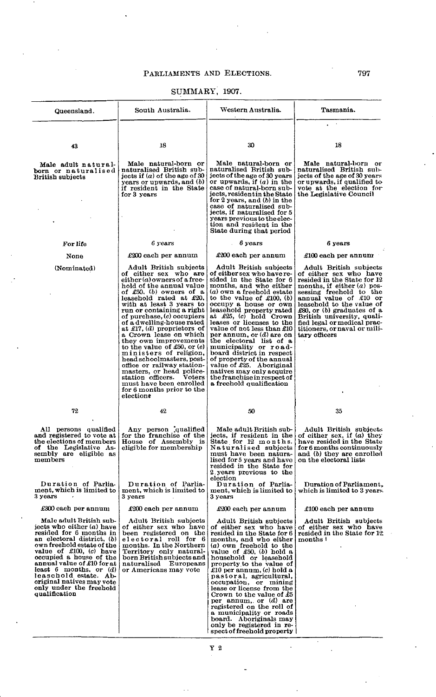# SUMMARY, 1907.

| Queensland.                                                                                                                                                                                                                                                                                                                                                         | South Australia.                                                                                                                                                                                                                                                                                                                                                                                                                                                                                                                                                                                                                                                   | Western Australia.                                                                                                                                                                                                                                                                                                                                                                                                                                                                                                                                                                                 | Tasmania.                                                                                                                                                                                                                                                                                                                                        |
|---------------------------------------------------------------------------------------------------------------------------------------------------------------------------------------------------------------------------------------------------------------------------------------------------------------------------------------------------------------------|--------------------------------------------------------------------------------------------------------------------------------------------------------------------------------------------------------------------------------------------------------------------------------------------------------------------------------------------------------------------------------------------------------------------------------------------------------------------------------------------------------------------------------------------------------------------------------------------------------------------------------------------------------------------|----------------------------------------------------------------------------------------------------------------------------------------------------------------------------------------------------------------------------------------------------------------------------------------------------------------------------------------------------------------------------------------------------------------------------------------------------------------------------------------------------------------------------------------------------------------------------------------------------|--------------------------------------------------------------------------------------------------------------------------------------------------------------------------------------------------------------------------------------------------------------------------------------------------------------------------------------------------|
| 43                                                                                                                                                                                                                                                                                                                                                                  | 18                                                                                                                                                                                                                                                                                                                                                                                                                                                                                                                                                                                                                                                                 | 30                                                                                                                                                                                                                                                                                                                                                                                                                                                                                                                                                                                                 | 18                                                                                                                                                                                                                                                                                                                                               |
|                                                                                                                                                                                                                                                                                                                                                                     |                                                                                                                                                                                                                                                                                                                                                                                                                                                                                                                                                                                                                                                                    |                                                                                                                                                                                                                                                                                                                                                                                                                                                                                                                                                                                                    |                                                                                                                                                                                                                                                                                                                                                  |
| Male adult natural-<br>born or naturalised<br>British subjects                                                                                                                                                                                                                                                                                                      | Male natural-born or<br>naturalised British sub-<br>jects if $(a)$ of the age of 30<br>years or upwards, and (b)<br>if resident in the State<br>for 3 years                                                                                                                                                                                                                                                                                                                                                                                                                                                                                                        | Male natural-born or<br>naturalised British sub-<br>jects of the age of 30 years<br>or upwards, if $(a)$ in the<br>case of natural-born sub-<br>jects, resident in the State<br>for 2 years, and $(b)$ in the<br>case of naturalised sub-<br>jects, if naturalised for 5<br>years previous to the elec-<br>tion and resident in the<br>State during that period                                                                                                                                                                                                                                    | Male natural-born or<br>naturalised British sub-<br>jects of the age of 30 years<br>or upwards, if qualified to<br>vote at the election for<br>the Legislative Council                                                                                                                                                                           |
| For life                                                                                                                                                                                                                                                                                                                                                            | 6 years                                                                                                                                                                                                                                                                                                                                                                                                                                                                                                                                                                                                                                                            | 6 years                                                                                                                                                                                                                                                                                                                                                                                                                                                                                                                                                                                            | 6 years                                                                                                                                                                                                                                                                                                                                          |
| None                                                                                                                                                                                                                                                                                                                                                                | £200 each per annum                                                                                                                                                                                                                                                                                                                                                                                                                                                                                                                                                                                                                                                | $\pounds 200$ each per annum                                                                                                                                                                                                                                                                                                                                                                                                                                                                                                                                                                       | $\pounds100$ each per annum                                                                                                                                                                                                                                                                                                                      |
| (Nominated)                                                                                                                                                                                                                                                                                                                                                         | Adult British subjects<br>of either sex who are<br>$either (a) \, \text{owers of a free-}$<br>hold of the annual value<br>of $\pounds 50$ , (b) owners of a<br>leasehold rated at $£20$ ,<br>with at least 3 years to<br>run or containing a right<br>of purchase, $(c)$ occupiers<br>of a dwelling-house rated<br>at £17, $(d)$ proprietors of<br>a Crown lease on which<br>they own improvements<br>to the value of $£50$ , or $(e)$<br>ministers of religion,<br>head schoolmasters, post-<br>office or railway station-<br>masters, or head police-<br>station officers.<br><b>Voters</b><br>must have been enrolled<br>for 6 months prior to the<br>electione | Adult British subjects<br>of either sex who have re-<br>sided in the State for 6<br>months, and who either<br>(a) own a freehold estate<br>to the value of $\pounds 100$ , (b)<br>occupy a house or own<br>leasehold property rated<br>at $\pounds25$ , $(c)$ hold Crown<br>leases or licenses to the<br>value of not less than £10<br>per annum, or $(d)$ are on<br>the electoral list of a<br>municipality or road-<br>board district in respect<br>of property of the annual<br>value of £25. Aboriginal<br>natives may only acquire<br>the franchise in respect of<br>a freehold qualification | Adult British subjects<br>of either sex who have<br>resided in the State for 12<br>months, if either $(a)$ pos-<br>sessing freehold to the<br>annual value of £10 or<br>leasehold to the value of<br>$£80$ , or (b) graduates of a<br>British university, quali-<br>fied legal or medical prac-<br>titioners, or naval or mili-<br>tary officers |
| 72                                                                                                                                                                                                                                                                                                                                                                  | 42                                                                                                                                                                                                                                                                                                                                                                                                                                                                                                                                                                                                                                                                 | 50                                                                                                                                                                                                                                                                                                                                                                                                                                                                                                                                                                                                 | 35                                                                                                                                                                                                                                                                                                                                               |
| All persons qualified<br>and registered to vote at<br>the elections of members<br>of the Legislative As-<br>sembly are eligible as<br>members                                                                                                                                                                                                                       | Any person qualified<br>for the franchise of the<br>House of Assembly is<br>eligible for membership                                                                                                                                                                                                                                                                                                                                                                                                                                                                                                                                                                | Male adult British sub-<br>jects, if resident in the<br>State for 12 months.<br>Naturalised subjects<br>must have been natura-<br>lised for 5 years and have<br>resided in the State for<br>2 years previous to the<br>election                                                                                                                                                                                                                                                                                                                                                                    | Adult British subjects<br>of either sex, if (a) they<br>have resided in the State<br>for 6 months continuously<br>and (b) they are enrolled<br>on the electoral lists                                                                                                                                                                            |
| Duration of Parlia-<br>ment, which is limited to<br>3 years                                                                                                                                                                                                                                                                                                         | Duration of Parlia-<br>ment, which is limited to<br>3 years                                                                                                                                                                                                                                                                                                                                                                                                                                                                                                                                                                                                        | Duration of Parlia-<br>ment, which is limited to<br>3 years                                                                                                                                                                                                                                                                                                                                                                                                                                                                                                                                        | Duration of Parliament,<br>which is limited to 3 years.                                                                                                                                                                                                                                                                                          |
| £300 each per annum                                                                                                                                                                                                                                                                                                                                                 | $\pounds 200$ each per annum                                                                                                                                                                                                                                                                                                                                                                                                                                                                                                                                                                                                                                       | $\pounds 200$ each per annum                                                                                                                                                                                                                                                                                                                                                                                                                                                                                                                                                                       | $\pounds100$ each per annum                                                                                                                                                                                                                                                                                                                      |
| Male adult British sub-<br>jects who either $(a)$ have<br>resided for 6 months in<br>an electoral district, (b)<br>own freehold estate of the<br>value of $£100, (c)$ have<br>occupied a house of the<br>annual value of £10 for at<br>least $6$ months, or $(d)$<br>leaschold estate. Ab-<br>original natives may vote<br>only under the freehold<br>qualification | Adult British subjects<br>of either sex who have<br>been registered on the<br>electoral roll for 6<br>months. In the Northern<br>Territory only natural-<br>born British subjects and<br>naturalised Europeans<br>or Americans may vote                                                                                                                                                                                                                                                                                                                                                                                                                            | Adult British subjects<br>of either sex who have<br>resided in the State for 6<br>months, and who either<br>$(a)$ own freehold to the<br>value of $£50$ , $(b)$ hold a household or leasehold<br>property to the value of<br>£10 per annum, (c) hold a<br>pastoral, agricultural,<br>occupation, or mining<br>lease or license from the<br>Crown to the value of $£5$<br>per annum, or $(d)$ are<br>registered on the roll of<br>a municipality or roads<br>board. Aboriginals may<br>only be registered in re-<br>spect of freehold property                                                      | Adult British subjects<br>of either sex who have<br>resided in the State for 12<br>months i                                                                                                                                                                                                                                                      |

Y 2

 $\ddot{\phantom{a}}$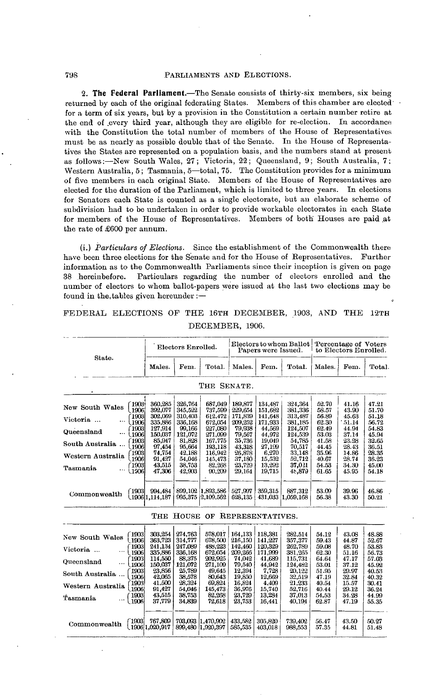**2. The Federal Parliament.**—The Senate consists of thirty-six members, six being returned by each of the original federating States. Members of this chamber are elected' for a term of six years, but by a provision in the Constitution a certain number retire at the end of every third year, although they are eligible for re-election. In accordance with the Constitution the total number of members of the House of Representatives must be as nearly as possible double that of the Senate. In the House of Representatives the States are represented on a population basis, and the numbers stand at present as follows:—New South Wales. 27; Victoria, 22; Queensland, 9; South Australia, 7: Western Australia, 5; Tasmania, 5—total, 75. The Constitution provides for a minimum of five members in each original State. Members of the House of Representatives are elected for the duration of the Parliament, which is limited to three years. In elections for Senators each State is counted as a single electorate, but an elaborate scheme of subdivision had to be undertaken in order to provide workable electorates in each State for members of the House of Representatives. Members of both Houses are paid at the rate of £600 per annum.

(i.) *Particulars of Elections.* Since the establishment of the Commonwealth there have been three elections for the Senate and for the House of Representatives. Further information as to the Commonwealth Parliaments since their inception is given on page 38 .hereinbefore. Particulars regarding the number of electors enrolled and the number of electors to whom ballot-papers were issued at the last two elections may be found in the,tables given hereunder :—

| State.                        |                              |                              | Electors Enrolled.          |                                        |                            | Papers were Issued.       | Electors to whom Ballot      | Percentage of Voters<br>to Electors Enrolled. |                         |                         |
|-------------------------------|------------------------------|------------------------------|-----------------------------|----------------------------------------|----------------------------|---------------------------|------------------------------|-----------------------------------------------|-------------------------|-------------------------|
|                               |                              | Males.                       | Fem.                        | Total.                                 | Males.                     | Fem.                      | Total.                       | Males.                                        | Fem.                    | Total.                  |
|                               |                              |                              |                             | THE SENATE.                            |                            |                           |                              |                                               |                         |                         |
| New South Wales               | 1903                         | 360,285                      | 326,764                     | 687,049                                | 189,877                    | 134,487                   | 324.364                      | 52.70                                         | 41.16                   | 47.21                   |
|                               | 1906                         | 392,077                      | 345,522                     | 737,599                                | 229,654                    | 151,682                   | 381,336                      | 58.57                                         | 43.90                   | 51.70                   |
| 1903<br>Victoria<br><br>\1906 |                              | 302,069<br>335,886           | 310,403<br>336,168          | 612,472<br>672,054                     | 171,839<br>209,252         | 141,648<br>171,933        | 313,487<br>381,185           | 56.89<br>62.30                                | 45.63<br>51.14          | 51.18<br>56.72          |
| Queensland                    | 1903                         | 127,914                      | 99,166                      | 227,080                                | 79.938                     | 44,569                    | 124.507                      | 62.49                                         | 44.94                   | 54.83                   |
|                               | <b>L1906</b>                 | 150,037                      | 121,072                     | 271,099                                | 79,567                     | 44,972                    | 124,539                      | 53.03                                         | 37.14                   | 45.94                   |
| South Australia               | <b>1903</b>                  | 85,947                       | 81,828                      | 167,775                                | 35,736                     | 19,049                    | 54.785                       | 41.58                                         | 23.28                   | 32.65                   |
|                               | 1906                         | 97,454                       | 95,664                      | 193,118                                | 43.318                     | 27,199                    | 70,517                       | 44.45                                         | 28.43                   | 36.51                   |
| Western Australia             | 1903                         | 74,754                       | 42,188                      | 116,942                                | 26,878                     | 6,270                     | 33,148                       | 35.96                                         | 14.86                   | 28.35                   |
|                               | .1906                        | 91,427                       | 54,046                      | 145,473                                | 37,180                     | 15,532                    | 52,712                       | 40.67                                         | 28.74                   | 36.23                   |
| Tasmania                      | [1903]                       | 43.515                       | 38,753                      | 82,268                                 | 23,729                     | 13,292                    | 37,021                       | 54.53                                         | 34.30                   | 45.00                   |
|                               | $\langle 1906 $              | 47,306                       | 42,903                      | 90,209                                 | 29,164                     | 19,715                    | 46,879                       | 61.65                                         | 45.95                   | 54.18                   |
| Commonwealth                  | (1903)                       | 994,484<br>(1906 1,114,187   | 899,102<br>995,375          | 1.893.586<br>2,109,562                 | 527,997<br>628,135         | 359,315<br>431,033        | 887,312<br>1,059,168         | 53.09<br>56.38                                | 39.96<br>43.30          | 46.86<br>50.21          |
|                               |                              | THE                          | ${\rm HousE}$               | OF                                     |                            | REPRESENTATIVES.          |                              |                                               |                         |                         |
| New South Wales               | `1903                        | 303,254                      | 274,763                     | 578,017                                | 164,133                    | 118,381                   | 282,514                      | 54.12                                         | 43.08                   | 48.88                   |
|                               | 1906                         | 363,723                      | 314,777                     | 678,500                                | 216,150                    | 141,227                   | 357,377                      | 59.43                                         | 44.87                   | 52.67                   |
| Victoria                      | 1903                         | 241,134                      | 247,089                     | 488,223                                | 142,460                    | 120,329                   | 262,789                      | 59.08                                         | 48.70                   | 53.83                   |
|                               | 1906                         | 335,886                      | 336,168                     | 672.054                                | 209,266                    | 171,999                   | 381,265                      | 62.30                                         | 51.16                   | 56.73                   |
| Queensland<br>                | 1903<br><b>\1906</b><br>1903 | 114,550<br>150,037<br>23.856 | 88,375<br>121,072<br>25,789 | 202,925<br>271,109<br>49.645           | 74,042<br>79,540<br>12,394 | 41,689<br>44.942<br>7,728 | 115,731<br>124,482<br>20,122 | 64.64<br>53.01<br>51.95                       | 47.17<br>37.12<br>29.97 | 57.03<br>45.92<br>40.53 |
| South Australia               | 1906                         | 42,065                       | 38,578                      | 80.643                                 | 19,850                     | 12,669                    | 32,519                       | 47.19                                         | 32.84                   | 40.32                   |
|                               | 1903                         | 41,500                       | 28,324                      | 69,824                                 | 16,824                     | 4,409                     | 21,233                       | 40.54                                         | 15.57                   | 30.41                   |
| Western Australia             | 1906                         | 91,427                       | 54.046                      | 145,473                                | 36.976                     | 15,740                    | 52,716                       | 40.44                                         | 29.12                   | 36.24                   |
|                               | 1903                         | 43,515                       | 38,753                      | 82,268                                 | 23,729                     | 13,284                    | 37,013                       | 54.53                                         | 34.28                   | 44.99                   |
| Tasmania                      | 1906                         | 37,779                       | 34,839                      | 72,618                                 | 23,753                     | 16,441                    | 40,194                       | 62.87                                         | 47.19                   | 55.35                   |
| Commonwealth                  | `1903                        | 767,809<br>1906 1,020,917    |                             | 703.093 1.470.902<br>899,480 1,920,397 | 433.582<br>585,535         | 305,820<br>403,018        | 739,402<br>988,553           | 56.47<br>57.35                                | 43.50<br>44.81          | 50.27<br>51.48          |

FEDERAL ELECTIONS OF THE 16TH DECEMBER, 1903, AND THE 12TH DECEMBER, 1906.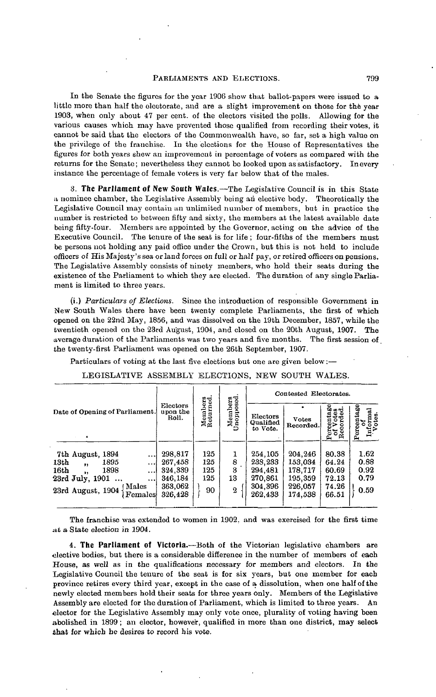In the Senate the figures for the year 1906 show that ballot-papers were issued to a little more than half the electorate, and are a slight improvement on those for the year 1903, when only about 47 per cent, of the electors visited the polls. Allowing for the various causes which may have prevented those qualified from recording their votes, it cannot be said that the electors of the Commonwealth have, so far, set a high value on the privilege of the franchise. In the elections for the House of Representatives the figures for both years shew an improvement in percentage of voters as compared with the returns for the Senate; nevertheless they cannot be looked upon as satisfactory. In every instance the percentage of female voters is very far below that of the males.

**3. The Parliament of New South Wales.**—The Legislative Council is in this State a nominee chamber, the Legislative Assembly being an elective body. Theoretically the Legislative Council may contain an unlimited number of members, but in practice the number is restricted to between fifty and sixty, the members at the latest available date being fifty-four. Members are appointed by the Governor, acting on the advice of the Executive Council. The tenure of the seat is for life ; four-fifths of the members must be persons not holding any paid office under the Crown, but this is not held to include officers of His Majesty's sea or land forces on full or half pay, or retired officers on pensions. The Legislative Assembly consists of ninety members, who hold their seats during the existence of the Parliament to which they are elected. The duration of any single Parliament is limited to three years.

(i.) *Particulars of Elections.* Since the introduction of responsible Government in New South Wales there have been twenty complete Parliaments, the first of which opened on the 22nd May, 1856, and was dissolved on the 19th December, 1857, while the twentieth opened on the 23rd August, 1904, and closed on the 20th August, 1907. The average duration of the Parliaments was two years and five months. The first session of the twenty-first Parliament was opened on the 26th September, 1907.

Particulars of voting at the last five elections but one are given below:—

| LEGISLATIVE ASSEMBLY ELECTIONS, NEW SOUTH WALES.                                                                                                                                                                |                                                                |                                |                                       |                                                                |                                                                |                                                    |                                      |
|-----------------------------------------------------------------------------------------------------------------------------------------------------------------------------------------------------------------|----------------------------------------------------------------|--------------------------------|---------------------------------------|----------------------------------------------------------------|----------------------------------------------------------------|----------------------------------------------------|--------------------------------------|
|                                                                                                                                                                                                                 |                                                                |                                |                                       |                                                                | Contested Electorates.                                         |                                                    |                                      |
| Date of Opening of Parliament.                                                                                                                                                                                  | Electors<br>upon the<br>Roll.                                  | Members<br>Returned.           | Members<br>Unopposed.                 | Electors<br>Qualified<br>to Vote.                              | <b>Votes</b><br>Recorded.                                      | Percentage<br>of Votes<br>Recorded.                | Percentage<br>Informal<br>Votes.     |
| 7th August, 1894<br>$\cdots$<br>13th<br>1895<br>$\cdots$<br>$\ddot{\phantom{a}}$<br>16th<br>1898<br>$\cdots$<br>$\ddot{\phantom{1}}$<br>23rd July, 1901<br>$\cdots$<br>(Males<br>23rd August, 1904 ·<br>Females | 298,817<br>267,458<br>324,339<br>346.184<br>363,062<br>326,428 | 125<br>125<br>125<br>125<br>90 | 1<br>8<br>3<br>13<br>$\boldsymbol{2}$ | 254,105<br>238,233<br>294,481<br>270,861<br>304,396<br>262,433 | 204.246<br>153,034<br>178,717<br>195,359<br>226,057<br>174,538 | 80.38<br>64.24<br>60.69<br>72.13<br>74.26<br>66.51 | 1.62<br>0.88<br>0.92<br>0.79<br>0.59 |

The franchise was extended to women in 1902. and was exercised for the first time at a State election in 1904.

**4. The Parliament of Victoria.**—Both of the Victorian legislative chambers are elective bodies, but there is a considerable difference in the number of members of each House, as well as in the qualifications necessary for members and electors. In the Legislative Council the tenure of the seat is for six years, but one member for each province retires every third year, except in the case of a dissolution, when one half of the newly elected members hold their seats for three years only. Members of the Legislative Assembly are elected for the duration of Parliament, which is limited to three years. An elector for the Legislative Assembly may only vote once, plurality of voting having been abolished in 1899; an elector, however, qualified in more than one district, may select that for which he desires to record his vote.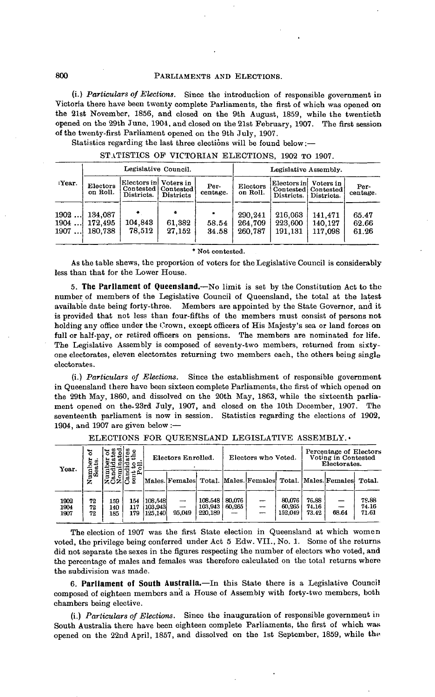(i.) *Particulars of Elections.* Since the introduction of responsible government in Victoria there have been twenty complete Parliaments, the first of which was opened on the 21st November, 1856, and closed on the 9th August, 1859, while the twentieth opened on the 29th June, 1904, and closed on the 21st February, 1907. The first session of the twenty-first Parliament opened on the 9th July, 1907.

Statistics regarding the last three elections will be found below:—

|  | STATISTICS OF VICTORIAN ELECTIONS, 1902 TO 1907. |  |  |
|--|--------------------------------------------------|--|--|
|  |                                                  |  |  |
|  |                                                  |  |  |

|                      |                               | Legislative Council.                                         |                  |                  | Legislative Assembly.         |                               |                                                |                         |  |  |
|----------------------|-------------------------------|--------------------------------------------------------------|------------------|------------------|-------------------------------|-------------------------------|------------------------------------------------|-------------------------|--|--|
| Year.                | Electors<br>on Roll.          | Electors in Voters in<br>Contested   Contested<br>Districts. | <b>Districts</b> | Per-<br>centage. | Electors<br>on Roll.          | Electors in<br>Districts.     | Voters in<br>Contested Contested<br>Districts. | Per-<br>centage.        |  |  |
| 1902<br>1904<br>1907 | 134,087<br>172.495<br>180.738 | 104,843<br>78.512                                            | 61,382<br>27.152 | 58.54<br>34.58   | 290.241<br>264,709<br>260.787 | 216,063<br>223.600<br>191.131 | 141,471<br>140,127<br>117,098                  | 65.47<br>62.66<br>61.26 |  |  |
|                      |                               |                                                              |                  |                  |                               |                               |                                                |                         |  |  |

**\* Not contested.**

As the table shews, the proportion of voters for the Legislative Council is considerably less than that for the Lower House.

**5. The Parliament of Queensland.**—No limit is set by the Constitution Act to the number of members of the Legislative Council of Queensland, the total at the latest available date being forty-three. Members are appointed by the State Governor, and it is provided that not less than four-fifths of the members must consist of persons not holding any office under the Crown, except officers of His Majesty's sea or land forces on full or half-pay, or retired officers on pensions. The members are nominated for life. The Legislative Assembly is composed of seventy-two members, returned from sixtyone electorates, eleven electorates returning two members each, the others being single electorates.

(i.) *Particulars of Elections.* Since the establishment of responsible government in Queensland there have been sixteen complete Parliaments, the first of which opened on the 29th May, 1860, and dissolved on the 20th May, 1863, while the sixteenth parliament opened on the. 23rd July, 1907, and closed on the 10th December, 1907. The seventeenth parliament is now in session. Statistics regarding the elections of 1902, 1904, and 1907 are given below:—

| ጜ<br>ar<br>S<br>Year.<br>ద<br><b>Numl</b><br>See |                |                   |                   |                                 |        |                                                                | Electors Enrolled. |    |                             | Electors who Voted.     |       |                         | Percentage of Electors<br>Voting in Contested<br>Electorates. |  |
|--------------------------------------------------|----------------|-------------------|-------------------|---------------------------------|--------|----------------------------------------------------------------|--------------------|----|-----------------------------|-------------------------|-------|-------------------------|---------------------------------------------------------------|--|
|                                                  |                |                   |                   |                                 |        | Males Females Total, Males Females Total, Males Females Total. |                    |    |                             |                         |       |                         |                                                               |  |
| 1902<br>1904<br>1907                             | 72<br>72<br>72 | 159<br>140<br>185 | 154<br>117<br>179 | 108.548<br> 103,943 <br>125,140 | 95.049 | 108.548<br>103,943<br>220,189                                  | 80,076<br>60,265   | -- | 80.076<br>60,265<br>152.049 | 76.88<br>74.16<br>73.42 | 68.64 | 79.88<br>74.16<br>71.61 |                                                               |  |

ELECTIONS FOR QUEENSLAND LEGISLATIVE ASSEMBLY.-

The election of 1907 was the first State election in Queensland at which women voted, the privilege being conferred under Act 5 Edw. VII., No. 1. Some of the returns did not separate the sexes in the figures respecting the number of electors who voted, and the percentage of males and females was therefore calculated on the total returns where the subdivision was made.

**6. Parliament of South Australia.**—In this State there is a Legislative Council composed of eighteen members and a House of Assembly with forty-two members, both chambers being elective.

(i.) *Particulars of Elections.* Since the inauguration of responsible government in South Australia there have been eighteen complete Parliaments, the first of which was opened on the 22nd April, 1857, and dissolved on the 1st September, 1859, while the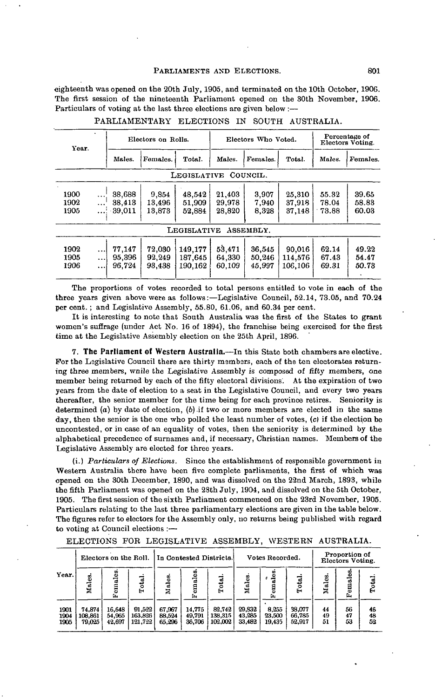eighteenth was opened on the 20th July, 1905, and terminated on the 10th October, 1906. The first session of the nineteenth Parliament opened on the 30th November, 1906. Particulars of voting at the last three elections are given below :—

| Year.                |                                    |                               | Electors on Rolls.         |                               |                            | Electors Who Voted.        |                              | Percentage of<br>Electors Voting. |                         |  |
|----------------------|------------------------------------|-------------------------------|----------------------------|-------------------------------|----------------------------|----------------------------|------------------------------|-----------------------------------|-------------------------|--|
|                      |                                    | Males.                        | Females.                   | Total.                        | Males.                     | Females.                   |                              | Males.                            | Females.                |  |
|                      |                                    |                               |                            | LEGISLATIVE                   |                            | COUNCIL.                   |                              |                                   |                         |  |
| 1900<br>1902<br>1905 | $\ddotsc$<br>$\ddotsc$<br>.        | 38,688<br>38,413<br>$-39.011$ | 9.854<br>13,496<br>13,873  | 48.542<br>51.909<br>52.884    | 21,403<br>29.978<br>28,820 | 3,907<br>7.940<br>8.328    | 25,310<br>37.918<br>37,148   | 55.32<br>78.04<br>73.88           | 39.65<br>58.83<br>60.03 |  |
|                      |                                    |                               |                            | <b>LEGISLATIVE</b>            |                            | ASSEMBLY.                  |                              |                                   |                         |  |
| 1902<br>1905<br>1906 | $\ddotsc$<br>$\ddotsc$<br>$\cdots$ | 77.147<br>95.396<br>96.724    | 72,030<br>92,249<br>93,438 | 149.177<br>187.645<br>190.162 | 53.471<br>64,330<br>60,109 | 36,545<br>50,246<br>45.997 | 90,016<br>114.576<br>106,106 | 62.14<br>67.43<br>69.31           | 49.22<br>54.47<br>50.73 |  |

PARLIAMENTARY ELECTIONS IN SOUTH AUSTRALIA.

The proportions of votes recorded to total persons entitled to vote in each of the three years given above were as follows:—Legislative Council, 52.14, 73.05, and 70.24 per cent. ; and Legislative Assembly, 55.80, 61.06, and 60.34 per cent.

It is interesting to note that South Australia was the first of the States to grant women's suffrage (under Act No. 16 of 1894), the franchise being exercised for the first time at the Legislative Assembly election on the 25th April, 1896.

**7. The Parliament of Western Australia.**—In this State both chambers are elective. For the Legislative Council there are thirty members, each of the ten electorates returning three members, wnile the Legislative Assembly is composed of fifty members, one member being returned by each of the fifty electoral divisions. At the expiration of two years from the date of election to a seat in the Legislative Council, and every two years thereafter, the senior member for the time being for each province retires. Seniority is determined *(a)* by date of election, (6) .if two or more members are elected in the same day, then the senior is the one who polled the least number of votes, (c) if the election be uncontested, or in case of an equality of votes, then the seniority is determined by the alphabetical precedence of surnames and, if necessary, Christian names. Members of the Legislative Assembly are elected for three years.

(i.) *Particulars of Elections.* Since the establishment of responsible government in Western Australia there have been five complete parliaments, the first of which was opened on the 30th December, 1890, and was dissolved on the 22nd March, 1893, while the fifth Parliament was opened on the 28th July, 1904, and dissolved on the 5th October, 1905. The first session of the sixth Parliament commenced on the 23rd November, 1905. Particulars relating to the last three parliamentary elections are given in the table below. The figures refer to electors for the Assembly only, no returns being published with regard to voting at Council elections : $-$ 

|                      | Electors on the Roll.       |                            |                              | In Contested Districts.    |                            |                              | Votes Recorded.            |                           |                            | Proportion of<br>Electors Voting. |                 |                |
|----------------------|-----------------------------|----------------------------|------------------------------|----------------------------|----------------------------|------------------------------|----------------------------|---------------------------|----------------------------|-----------------------------------|-----------------|----------------|
| Year.                | Males.                      | Ξ<br>emal<br>G             | Total.                       | Males.                     | Females                    | Total.                       | Males.                     | des.<br>g<br>画            | Total.                     | Males                             | ۋ<br>emal<br>r. | Total.         |
| 1901<br>1904<br>1905 | 74,874<br>108.861<br>79.025 | 16,648<br>54,965<br>42,697 | 91.522<br>163,826<br>121.722 | 67,967<br>88,524<br>65.296 | 14.775<br>49.791<br>36,706 | 82.742<br>138.315<br>102,002 | 29,832<br>43,285<br>33.482 | 8,255<br>23.500<br>19,435 | 38.077<br>66.785<br>52.917 | 44<br>49<br>51                    | 56<br>47<br>53  | 46<br>48<br>52 |

ELECTIONS FOR LEGISLATIVE ASSEMBLY, WESTERN AUSTRALIA.